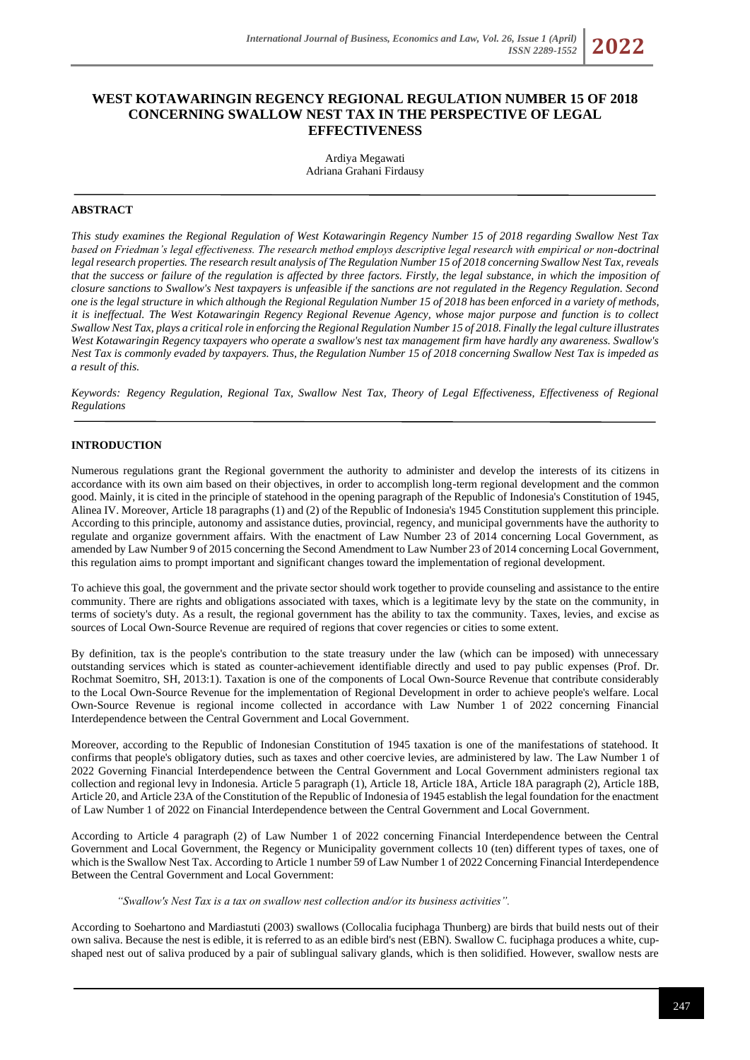# **WEST KOTAWARINGIN REGENCY REGIONAL REGULATION NUMBER 15 OF 2018 CONCERNING SWALLOW NEST TAX IN THE PERSPECTIVE OF LEGAL EFFECTIVENESS**

Ardiya Megawati Adriana Grahani Firdausy

# **ABSTRACT**

*This study examines the Regional Regulation of West Kotawaringin Regency Number 15 of 2018 regarding Swallow Nest Tax based on Friedman's legal effectiveness. The research method employs descriptive legal research with empirical or non-doctrinal legal research properties. The research result analysis of The Regulation Number 15 of 2018 concerning Swallow Nest Tax, reveals that the success or failure of the regulation is affected by three factors. Firstly, the legal substance, in which the imposition of closure sanctions to Swallow's Nest taxpayers is unfeasible if the sanctions are not regulated in the Regency Regulation. Second one is the legal structure in which although the Regional Regulation Number 15 of 2018 has been enforced in a variety of methods, it is ineffectual. The West Kotawaringin Regency Regional Revenue Agency, whose major purpose and function is to collect Swallow Nest Tax, plays a critical role in enforcing the Regional Regulation Number 15 of 2018. Finally the legal culture illustrates*  West Kotawaringin Regency taxpayers who operate a swallow's nest tax management firm have hardly any awareness. Swallow's *Nest Tax is commonly evaded by taxpayers. Thus, the Regulation Number 15 of 2018 concerning Swallow Nest Tax is impeded as a result of this.*

*Keywords: Regency Regulation, Regional Tax, Swallow Nest Tax, Theory of Legal Effectiveness, Effectiveness of Regional Regulations*

# **INTRODUCTION**

Numerous regulations grant the Regional government the authority to administer and develop the interests of its citizens in accordance with its own aim based on their objectives, in order to accomplish long-term regional development and the common good. Mainly, it is cited in the principle of statehood in the opening paragraph of the Republic of Indonesia's Constitution of 1945, Alinea IV. Moreover, Article 18 paragraphs (1) and (2) of the Republic of Indonesia's 1945 Constitution supplement this principle. According to this principle, autonomy and assistance duties, provincial, regency, and municipal governments have the authority to regulate and organize government affairs. With the enactment of Law Number 23 of 2014 concerning Local Government, as amended by Law Number 9 of 2015 concerning the Second Amendment to Law Number 23 of 2014 concerning Local Government, this regulation aims to prompt important and significant changes toward the implementation of regional development.

To achieve this goal, the government and the private sector should work together to provide counseling and assistance to the entire community. There are rights and obligations associated with taxes, which is a legitimate levy by the state on the community, in terms of society's duty. As a result, the regional government has the ability to tax the community. Taxes, levies, and excise as sources of Local Own-Source Revenue are required of regions that cover regencies or cities to some extent.

By definition, tax is the people's contribution to the state treasury under the law (which can be imposed) with unnecessary outstanding services which is stated as counter-achievement identifiable directly and used to pay public expenses (Prof. Dr. Rochmat Soemitro, SH, 2013:1). Taxation is one of the components of Local Own-Source Revenue that contribute considerably to the Local Own-Source Revenue for the implementation of Regional Development in order to achieve people's welfare. Local Own-Source Revenue is regional income collected in accordance with Law Number 1 of 2022 concerning Financial Interdependence between the Central Government and Local Government.

Moreover, according to the Republic of Indonesian Constitution of 1945 taxation is one of the manifestations of statehood. It confirms that people's obligatory duties, such as taxes and other coercive levies, are administered by law. The Law Number 1 of 2022 Governing Financial Interdependence between the Central Government and Local Government administers regional tax collection and regional levy in Indonesia. Article 5 paragraph (1), Article 18, Article 18A, Article 18A paragraph (2), Article 18B, Article 20, and Article 23A of the Constitution of the Republic of Indonesia of 1945 establish the legal foundation for the enactment of Law Number 1 of 2022 on Financial Interdependence between the Central Government and Local Government.

According to Article 4 paragraph (2) of Law Number 1 of 2022 concerning Financial Interdependence between the Central Government and Local Government, the Regency or Municipality government collects 10 (ten) different types of taxes, one of which is the Swallow Nest Tax. According to Article 1 number 59 of Law Number 1 of 2022 Concerning Financial Interdependence Between the Central Government and Local Government:

#### *"Swallow's Nest Tax is a tax on swallow nest collection and/or its business activities".*

According to Soehartono and Mardiastuti (2003) swallows (Collocalia fuciphaga Thunberg) are birds that build nests out of their own saliva. Because the nest is edible, it is referred to as an edible bird's nest (EBN). Swallow C. fuciphaga produces a white, cupshaped nest out of saliva produced by a pair of sublingual salivary glands, which is then solidified. However, swallow nests are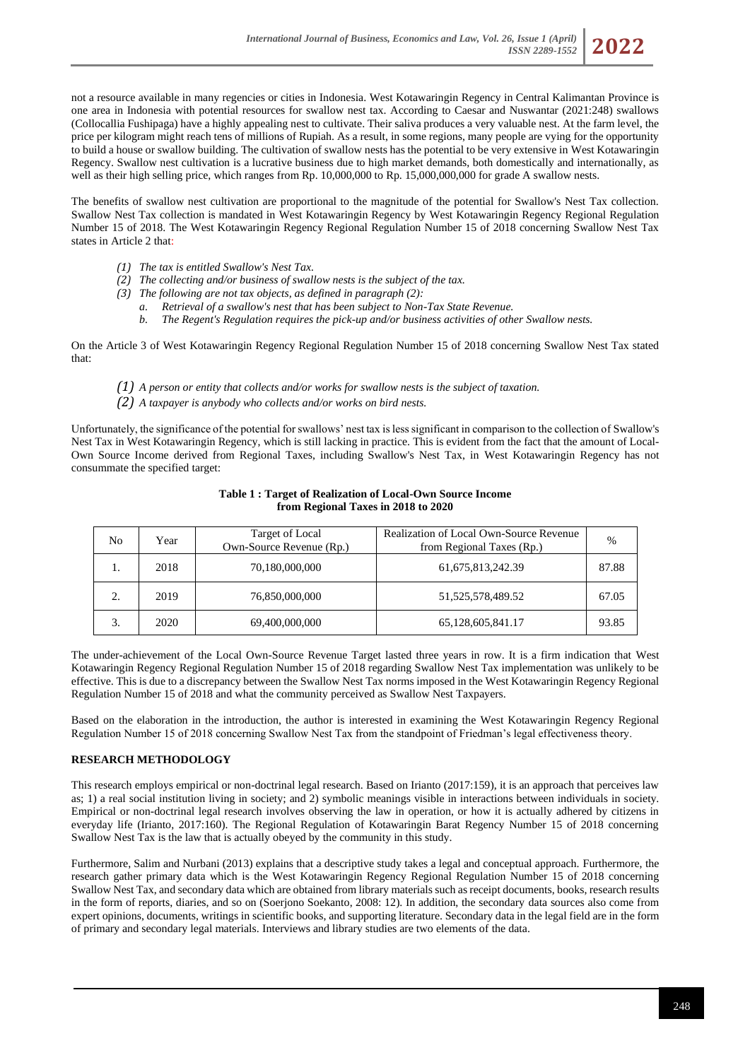not a resource available in many regencies or cities in Indonesia. West Kotawaringin Regency in Central Kalimantan Province is one area in Indonesia with potential resources for swallow nest tax. According to Caesar and Nuswantar (2021:248) swallows (Collocallia Fushipaga) have a highly appealing nest to cultivate. Their saliva produces a very valuable nest. At the farm level, the price per kilogram might reach tens of millions of Rupiah. As a result, in some regions, many people are vying for the opportunity to build a house or swallow building. The cultivation of swallow nests has the potential to be very extensive in West Kotawaringin Regency. Swallow nest cultivation is a lucrative business due to high market demands, both domestically and internationally, as well as their high selling price, which ranges from Rp. 10,000,000 to Rp. 15,000,000,000 for grade A swallow nests.

The benefits of swallow nest cultivation are proportional to the magnitude of the potential for Swallow's Nest Tax collection. Swallow Nest Tax collection is mandated in West Kotawaringin Regency by West Kotawaringin Regency Regional Regulation Number 15 of 2018. The West Kotawaringin Regency Regional Regulation Number 15 of 2018 concerning Swallow Nest Tax states in Article 2 that:

- *(1) The tax is entitled Swallow's Nest Tax.*
- *(2) The collecting and/or business of swallow nests is the subject of the tax.*
- *(3) The following are not tax objects, as defined in paragraph (2):*
	- *a. Retrieval of a swallow's nest that has been subject to Non-Tax State Revenue.*
	- *b. The Regent's Regulation requires the pick-up and/or business activities of other Swallow nests.*

On the Article 3 of West Kotawaringin Regency Regional Regulation Number 15 of 2018 concerning Swallow Nest Tax stated that:

- *(1) A person or entity that collects and/or works for swallow nests is the subject of taxation.*
- *(2) A taxpayer is anybody who collects and/or works on bird nests.*

Unfortunately, the significance of the potential for swallows' nest tax is less significant in comparison to the collection of Swallow's Nest Tax in West Kotawaringin Regency, which is still lacking in practice. This is evident from the fact that the amount of Local-Own Source Income derived from Regional Taxes, including Swallow's Nest Tax, in West Kotawaringin Regency has not consummate the specified target:

| No | Year | Target of Local<br>Own-Source Revenue (Rp.) | Realization of Local Own-Source Revenue<br>from Regional Taxes (Rp.) | $\frac{0}{0}$ |
|----|------|---------------------------------------------|----------------------------------------------------------------------|---------------|
|    | 2018 | 70,180,000,000                              | 61, 675, 813, 242. 39                                                | 87.88         |
| ↑  | 2019 | 76,850,000,000                              | 51, 525, 578, 489. 52                                                | 67.05         |
| 3. | 2020 | 69,400,000,000                              | 65,128,605,841.17                                                    | 93.85         |

### **Table 1 : Target of Realization of Local-Own Source Income from Regional Taxes in 2018 to 2020**

The under-achievement of the Local Own-Source Revenue Target lasted three years in row. It is a firm indication that West Kotawaringin Regency Regional Regulation Number 15 of 2018 regarding Swallow Nest Tax implementation was unlikely to be effective. This is due to a discrepancy between the Swallow Nest Tax norms imposed in the West Kotawaringin Regency Regional Regulation Number 15 of 2018 and what the community perceived as Swallow Nest Taxpayers.

Based on the elaboration in the introduction, the author is interested in examining the West Kotawaringin Regency Regional Regulation Number 15 of 2018 concerning Swallow Nest Tax from the standpoint of Friedman's legal effectiveness theory.

#### **RESEARCH METHODOLOGY**

This research employs empirical or non-doctrinal legal research. Based on Irianto (2017:159), it is an approach that perceives law as; 1) a real social institution living in society; and 2) symbolic meanings visible in interactions between individuals in society. Empirical or non-doctrinal legal research involves observing the law in operation, or how it is actually adhered by citizens in everyday life (Irianto, 2017:160). The Regional Regulation of Kotawaringin Barat Regency Number 15 of 2018 concerning Swallow Nest Tax is the law that is actually obeyed by the community in this study.

Furthermore, Salim and Nurbani (2013) explains that a descriptive study takes a legal and conceptual approach. Furthermore, the research gather primary data which is the West Kotawaringin Regency Regional Regulation Number 15 of 2018 concerning Swallow Nest Tax, and secondary data which are obtained from library materials such as receipt documents, books, research results in the form of reports, diaries, and so on (Soerjono Soekanto, 2008: 12). In addition, the secondary data sources also come from expert opinions, documents, writings in scientific books, and supporting literature. Secondary data in the legal field are in the form of primary and secondary legal materials. Interviews and library studies are two elements of the data.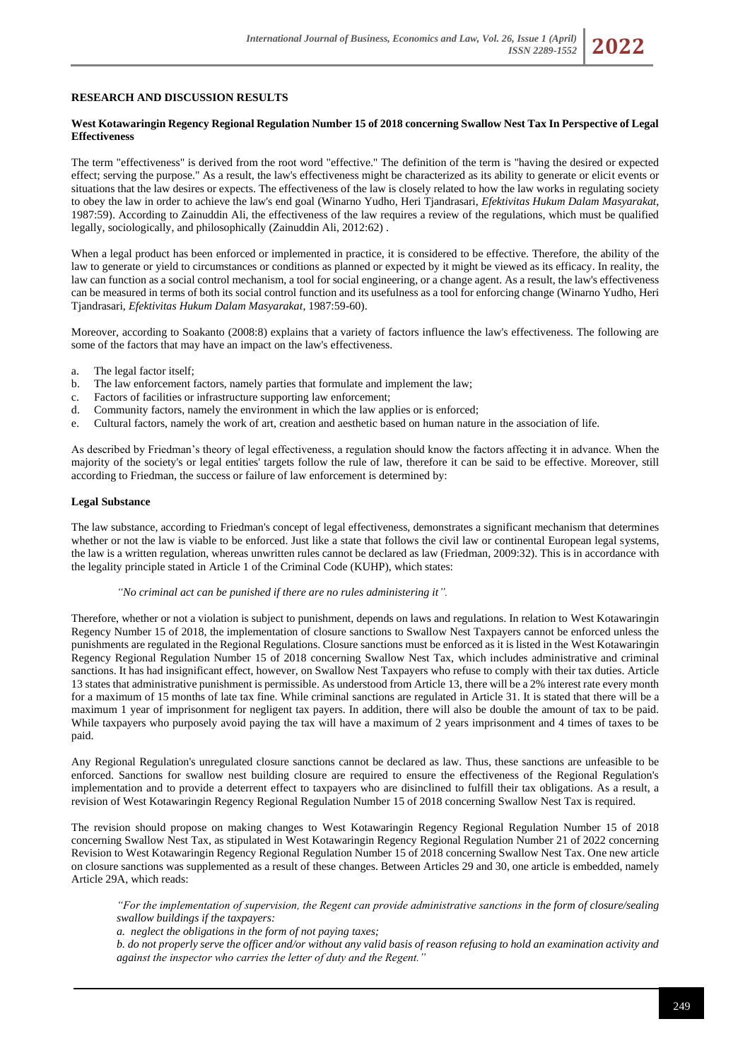# **RESEARCH AND DISCUSSION RESULTS**

#### **West Kotawaringin Regency Regional Regulation Number 15 of 2018 concerning Swallow Nest Tax In Perspective of Legal Effectiveness**

The term "effectiveness" is derived from the root word "effective." The definition of the term is "having the desired or expected effect; serving the purpose." As a result, the law's effectiveness might be characterized as its ability to generate or elicit events or situations that the law desires or expects. The effectiveness of the law is closely related to how the law works in regulating society to obey the law in order to achieve the law's end goal (Winarno Yudho, Heri Tjandrasari, *Efektivitas Hukum Dalam Masyarakat*, 1987:59). According to Zainuddin Ali, the effectiveness of the law requires a review of the regulations, which must be qualified legally, sociologically, and philosophically (Zainuddin Ali, 2012:62) .

When a legal product has been enforced or implemented in practice, it is considered to be effective. Therefore, the ability of the law to generate or yield to circumstances or conditions as planned or expected by it might be viewed as its efficacy. In reality, the law can function as a social control mechanism, a tool for social engineering, or a change agent. As a result, the law's effectiveness can be measured in terms of both its social control function and its usefulness as a tool for enforcing change (Winarno Yudho, Heri Tjandrasari, *Efektivitas Hukum Dalam Masyarakat*, 1987:59-60).

Moreover, according to Soakanto (2008:8) explains that a variety of factors influence the law's effectiveness. The following are some of the factors that may have an impact on the law's effectiveness.

- a. The legal factor itself;
- b. The law enforcement factors, namely parties that formulate and implement the law;
- c. Factors of facilities or infrastructure supporting law enforcement;
- d. Community factors, namely the environment in which the law applies or is enforced;
- e. Cultural factors, namely the work of art, creation and aesthetic based on human nature in the association of life.

As described by Friedman's theory of legal effectiveness, a regulation should know the factors affecting it in advance. When the majority of the society's or legal entities' targets follow the rule of law, therefore it can be said to be effective. Moreover, still according to Friedman, the success or failure of law enforcement is determined by:

#### **Legal Substance**

The law substance, according to Friedman's concept of legal effectiveness, demonstrates a significant mechanism that determines whether or not the law is viable to be enforced. Just like a state that follows the civil law or continental European legal systems, the law is a written regulation, whereas unwritten rules cannot be declared as law (Friedman, 2009:32). This is in accordance with the legality principle stated in Article 1 of the Criminal Code (KUHP), which states:

#### *"No criminal act can be punished if there are no rules administering it".*

Therefore, whether or not a violation is subject to punishment, depends on laws and regulations. In relation to West Kotawaringin Regency Number 15 of 2018, the implementation of closure sanctions to Swallow Nest Taxpayers cannot be enforced unless the punishments are regulated in the Regional Regulations. Closure sanctions must be enforced as it is listed in the West Kotawaringin Regency Regional Regulation Number 15 of 2018 concerning Swallow Nest Tax, which includes administrative and criminal sanctions. It has had insignificant effect, however, on Swallow Nest Taxpayers who refuse to comply with their tax duties. Article 13 states that administrative punishment is permissible. As understood from Article 13, there will be a 2% interest rate every month for a maximum of 15 months of late tax fine. While criminal sanctions are regulated in Article 31. It is stated that there will be a maximum 1 year of imprisonment for negligent tax payers. In addition, there will also be double the amount of tax to be paid. While taxpayers who purposely avoid paying the tax will have a maximum of 2 years imprisonment and 4 times of taxes to be paid.

Any Regional Regulation's unregulated closure sanctions cannot be declared as law. Thus, these sanctions are unfeasible to be enforced. Sanctions for swallow nest building closure are required to ensure the effectiveness of the Regional Regulation's implementation and to provide a deterrent effect to taxpayers who are disinclined to fulfill their tax obligations. As a result, a revision of West Kotawaringin Regency Regional Regulation Number 15 of 2018 concerning Swallow Nest Tax is required.

The revision should propose on making changes to West Kotawaringin Regency Regional Regulation Number 15 of 2018 concerning Swallow Nest Tax, as stipulated in West Kotawaringin Regency Regional Regulation Number 21 of 2022 concerning Revision to West Kotawaringin Regency Regional Regulation Number 15 of 2018 concerning Swallow Nest Tax. One new article on closure sanctions was supplemented as a result of these changes. Between Articles 29 and 30, one article is embedded, namely Article 29A, which reads:

*"For the implementation of supervision, the Regent can provide administrative sanctions in the form of closure/sealing swallow buildings if the taxpayers:*

*a. neglect the obligations in the form of not paying taxes;*

*b. do not properly serve the officer and/or without any valid basis of reason refusing to hold an examination activity and against the inspector who carries the letter of duty and the Regent."*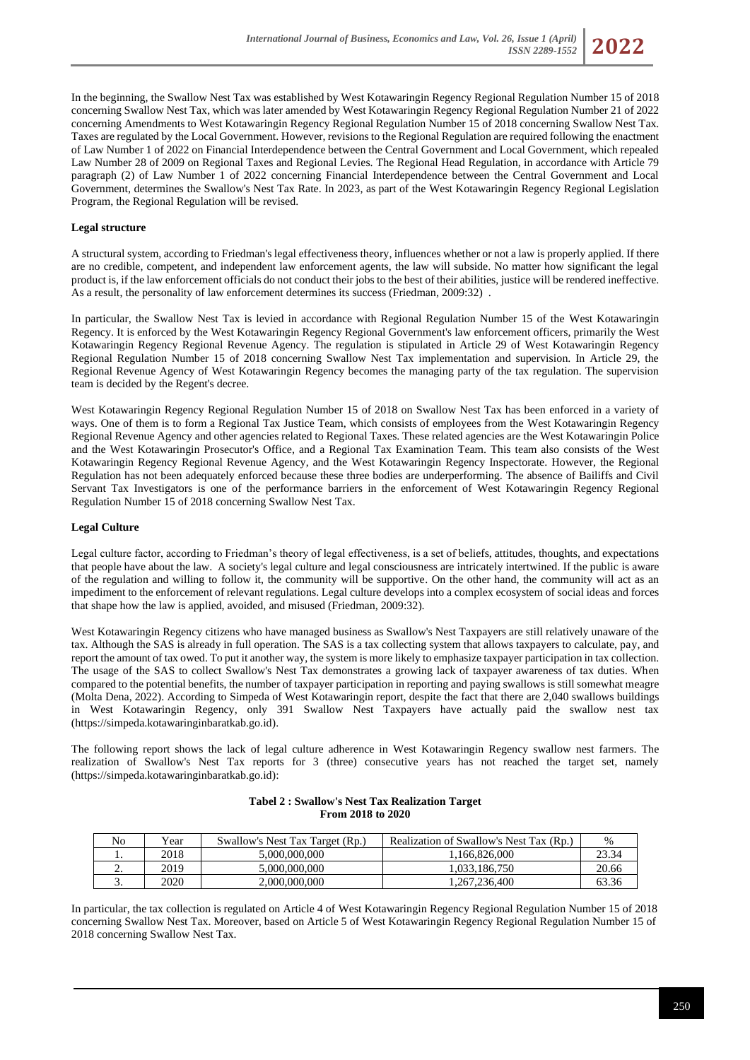

In the beginning, the Swallow Nest Tax was established by West Kotawaringin Regency Regional Regulation Number 15 of 2018 concerning Swallow Nest Tax, which was later amended by West Kotawaringin Regency Regional Regulation Number 21 of 2022 concerning Amendments to West Kotawaringin Regency Regional Regulation Number 15 of 2018 concerning Swallow Nest Tax. Taxes are regulated by the Local Government. However, revisions to the Regional Regulation are required following the enactment of Law Number 1 of 2022 on Financial Interdependence between the Central Government and Local Government, which repealed Law Number 28 of 2009 on Regional Taxes and Regional Levies. The Regional Head Regulation, in accordance with Article 79 paragraph (2) of Law Number 1 of 2022 concerning Financial Interdependence between the Central Government and Local Government, determines the Swallow's Nest Tax Rate. In 2023, as part of the West Kotawaringin Regency Regional Legislation Program, the Regional Regulation will be revised.

# **Legal structure**

A structural system, according to Friedman's legal effectiveness theory, influences whether or not a law is properly applied. If there are no credible, competent, and independent law enforcement agents, the law will subside. No matter how significant the legal product is, if the law enforcement officials do not conduct their jobs to the best of their abilities, justice will be rendered ineffective. As a result, the personality of law enforcement determines its success (Friedman, 2009:32) .

In particular, the Swallow Nest Tax is levied in accordance with Regional Regulation Number 15 of the West Kotawaringin Regency. It is enforced by the West Kotawaringin Regency Regional Government's law enforcement officers, primarily the West Kotawaringin Regency Regional Revenue Agency. The regulation is stipulated in Article 29 of West Kotawaringin Regency Regional Regulation Number 15 of 2018 concerning Swallow Nest Tax implementation and supervision. In Article 29, the Regional Revenue Agency of West Kotawaringin Regency becomes the managing party of the tax regulation. The supervision team is decided by the Regent's decree.

West Kotawaringin Regency Regional Regulation Number 15 of 2018 on Swallow Nest Tax has been enforced in a variety of ways. One of them is to form a Regional Tax Justice Team, which consists of employees from the West Kotawaringin Regency Regional Revenue Agency and other agencies related to Regional Taxes. These related agencies are the West Kotawaringin Police and the West Kotawaringin Prosecutor's Office, and a Regional Tax Examination Team. This team also consists of the West Kotawaringin Regency Regional Revenue Agency, and the West Kotawaringin Regency Inspectorate. However, the Regional Regulation has not been adequately enforced because these three bodies are underperforming. The absence of Bailiffs and Civil Servant Tax Investigators is one of the performance barriers in the enforcement of West Kotawaringin Regency Regional Regulation Number 15 of 2018 concerning Swallow Nest Tax.

## **Legal Culture**

Legal culture factor, according to Friedman's theory of legal effectiveness, is a set of beliefs, attitudes, thoughts, and expectations that people have about the law. A society's legal culture and legal consciousness are intricately intertwined. If the public is aware of the regulation and willing to follow it, the community will be supportive. On the other hand, the community will act as an impediment to the enforcement of relevant regulations. Legal culture develops into a complex ecosystem of social ideas and forces that shape how the law is applied, avoided, and misused (Friedman, 2009:32).

West Kotawaringin Regency citizens who have managed business as Swallow's Nest Taxpayers are still relatively unaware of the tax. Although the SAS is already in full operation. The SAS is a tax collecting system that allows taxpayers to calculate, pay, and report the amount of tax owed. To put it another way, the system is more likely to emphasize taxpayer participation in tax collection. The usage of the SAS to collect Swallow's Nest Tax demonstrates a growing lack of taxpayer awareness of tax duties. When compared to the potential benefits, the number of taxpayer participation in reporting and paying swallows is still somewhat meagre (Molta Dena, 2022). According to Simpeda of West Kotawaringin report, despite the fact that there are 2,040 swallows buildings in West Kotawaringin Regency, only 391 Swallow Nest Taxpayers have actually paid the swallow nest tax [\(https://simpeda.kotawaringinbaratkab.go.id\)](https://simpeda.kotawaringinbaratkab.go.id/).

The following report shows the lack of legal culture adherence in West Kotawaringin Regency swallow nest farmers. The realization of Swallow's Nest Tax reports for 3 (three) consecutive years has not reached the target set, namely [\(https://simpeda.kotawaringinbaratkab.go.id\)](https://simpeda.kotawaringinbaratkab.go.id/):

| No       | Y ear | Swallow's Nest Tax Target (Rp.) | Realization of Swallow's Nest Tax (Rp.) | %     |
|----------|-------|---------------------------------|-----------------------------------------|-------|
|          | 2018  | 5,000,000,000                   | .166.826.000                            | 23.34 |
| <u>.</u> | 2019  | 5,000,000,000                   | 1.033.186.750                           | 20.66 |
| <u>.</u> | 2020  | 2,000,000,000                   | .267.236.400                            | 63.36 |

#### **Tabel 2 : Swallow's Nest Tax Realization Target From 2018 to 2020**

In particular, the tax collection is regulated on Article 4 of West Kotawaringin Regency Regional Regulation Number 15 of 2018 concerning Swallow Nest Tax. Moreover, based on Article 5 of West Kotawaringin Regency Regional Regulation Number 15 of 2018 concerning Swallow Nest Tax.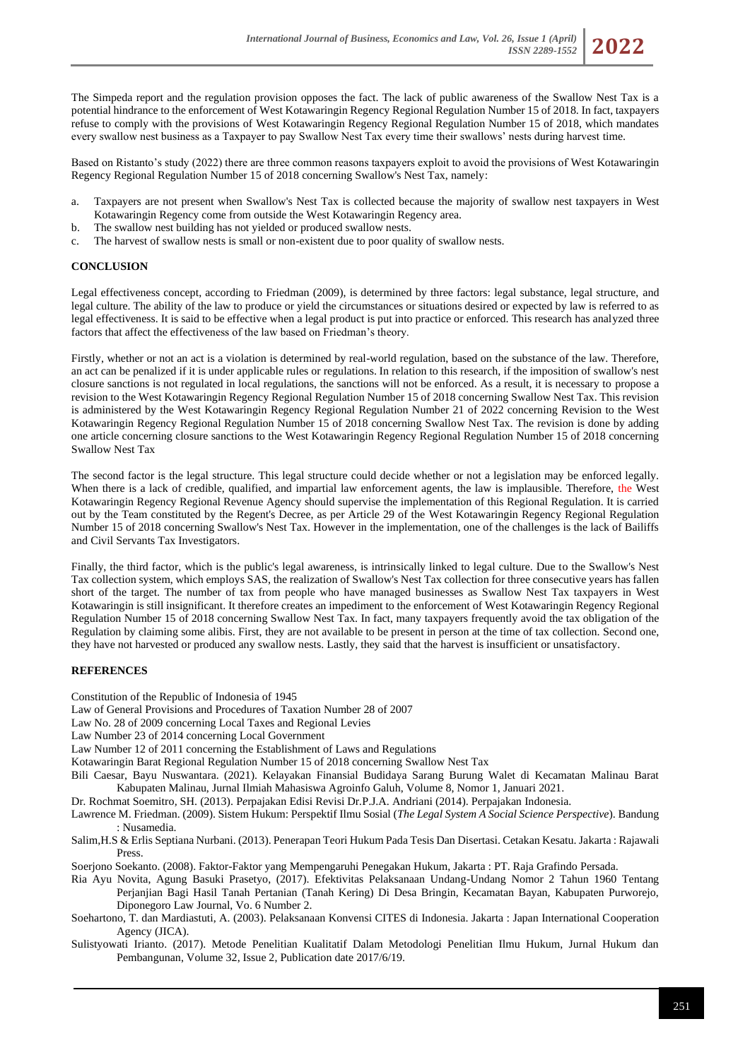The Simpeda report and the regulation provision opposes the fact. The lack of public awareness of the Swallow Nest Tax is a potential hindrance to the enforcement of West Kotawaringin Regency Regional Regulation Number 15 of 2018. In fact, taxpayers refuse to comply with the provisions of West Kotawaringin Regency Regional Regulation Number 15 of 2018, which mandates every swallow nest business as a Taxpayer to pay Swallow Nest Tax every time their swallows' nests during harvest time.

Based on Ristanto's study (2022) there are three common reasons taxpayers exploit to avoid the provisions of West Kotawaringin Regency Regional Regulation Number 15 of 2018 concerning Swallow's Nest Tax, namely:

- a. Taxpayers are not present when Swallow's Nest Tax is collected because the majority of swallow nest taxpayers in West Kotawaringin Regency come from outside the West Kotawaringin Regency area.
- b. The swallow nest building has not yielded or produced swallow nests.
- c. The harvest of swallow nests is small or non-existent due to poor quality of swallow nests.

## **CONCLUSION**

Legal effectiveness concept, according to Friedman (2009), is determined by three factors: legal substance, legal structure, and legal culture. The ability of the law to produce or yield the circumstances or situations desired or expected by law is referred to as legal effectiveness. It is said to be effective when a legal product is put into practice or enforced. This research has analyzed three factors that affect the effectiveness of the law based on Friedman's theory.

Firstly, whether or not an act is a violation is determined by real-world regulation, based on the substance of the law. Therefore, an act can be penalized if it is under applicable rules or regulations. In relation to this research, if the imposition of swallow's nest closure sanctions is not regulated in local regulations, the sanctions will not be enforced. As a result, it is necessary to propose a revision to the West Kotawaringin Regency Regional Regulation Number 15 of 2018 concerning Swallow Nest Tax. This revision is administered by the West Kotawaringin Regency Regional Regulation Number 21 of 2022 concerning Revision to the West Kotawaringin Regency Regional Regulation Number 15 of 2018 concerning Swallow Nest Tax. The revision is done by adding one article concerning closure sanctions to the West Kotawaringin Regency Regional Regulation Number 15 of 2018 concerning Swallow Nest Tax

The second factor is the legal structure. This legal structure could decide whether or not a legislation may be enforced legally. When there is a lack of credible, qualified, and impartial law enforcement agents, the law is implausible. Therefore, the West Kotawaringin Regency Regional Revenue Agency should supervise the implementation of this Regional Regulation. It is carried out by the Team constituted by the Regent's Decree, as per Article 29 of the West Kotawaringin Regency Regional Regulation Number 15 of 2018 concerning Swallow's Nest Tax. However in the implementation, one of the challenges is the lack of Bailiffs and Civil Servants Tax Investigators.

Finally, the third factor, which is the public's legal awareness, is intrinsically linked to legal culture. Due to the Swallow's Nest Tax collection system, which employs SAS, the realization of Swallow's Nest Tax collection for three consecutive years has fallen short of the target. The number of tax from people who have managed businesses as Swallow Nest Tax taxpayers in West Kotawaringin is still insignificant. It therefore creates an impediment to the enforcement of West Kotawaringin Regency Regional Regulation Number 15 of 2018 concerning Swallow Nest Tax. In fact, many taxpayers frequently avoid the tax obligation of the Regulation by claiming some alibis. First, they are not available to be present in person at the time of tax collection. Second one, they have not harvested or produced any swallow nests. Lastly, they said that the harvest is insufficient or unsatisfactory.

#### **REFERENCES**

Constitution of the Republic of Indonesia of 1945

- Law of General Provisions and Procedures of Taxation Number 28 of 2007
- Law No. 28 of 2009 concerning Local Taxes and Regional Levies
- Law Number 23 of 2014 concerning Local Government
- Law Number 12 of 2011 concerning the Establishment of Laws and Regulations
- Kotawaringin Barat Regional Regulation Number 15 of 2018 concerning Swallow Nest Tax
- Bili Caesar, Bayu Nuswantara. (2021). Kelayakan Finansial Budidaya Sarang Burung Walet di Kecamatan Malinau Barat Kabupaten Malinau, Jurnal Ilmiah Mahasiswa Agroinfo Galuh, Volume 8, Nomor 1, Januari 2021.
- Dr*.* Rochmat Soemitro*,* SH. (2013). P*e*rpajakan Edisi Revisi Dr*.*P.J.A. Andriani (2014). Perpajakan Indonesia.
- Lawrence M. Friedman. (2009). Sistem Hukum: Perspektif Ilmu Sosial (*The Legal System A Social Science Perspective*). Bandung : Nusamedia.
- Salim,H.S & Erlis Septiana Nurbani. (2013). Penerapan Teori Hukum Pada Tesis Dan Disertasi. Cetakan Kesatu. Jakarta : Rajawali Press.
- Soerjono Soekanto. (2008). Faktor-Faktor yang Mempengaruhi Penegakan Hukum, Jakarta : PT. Raja Grafindo Persada.
- Ria Ayu Novita, Agung Basuki Prasetyo, (2017). Efektivitas Pelaksanaan Undang-Undang Nomor 2 Tahun 1960 Tentang Perjanjian Bagi Hasil Tanah Pertanian (Tanah Kering) Di Desa Bringin, Kecamatan Bayan, Kabupaten Purworejo, Diponegoro Law Journal, Vo. 6 Number 2.
- Soehartono, T. dan Mardiastuti, A. (2003). Pelaksanaan Konvensi CITES di Indonesia. Jakarta : Japan International Cooperation Agency (JICA).
- Sulistyowati Irianto. (2017). Metode Penelitian Kualitatif Dalam Metodologi Penelitian Ilmu Hukum, Jurnal Hukum dan Pembangunan, Volume 32, Issue 2, Publication date 2017/6/19.